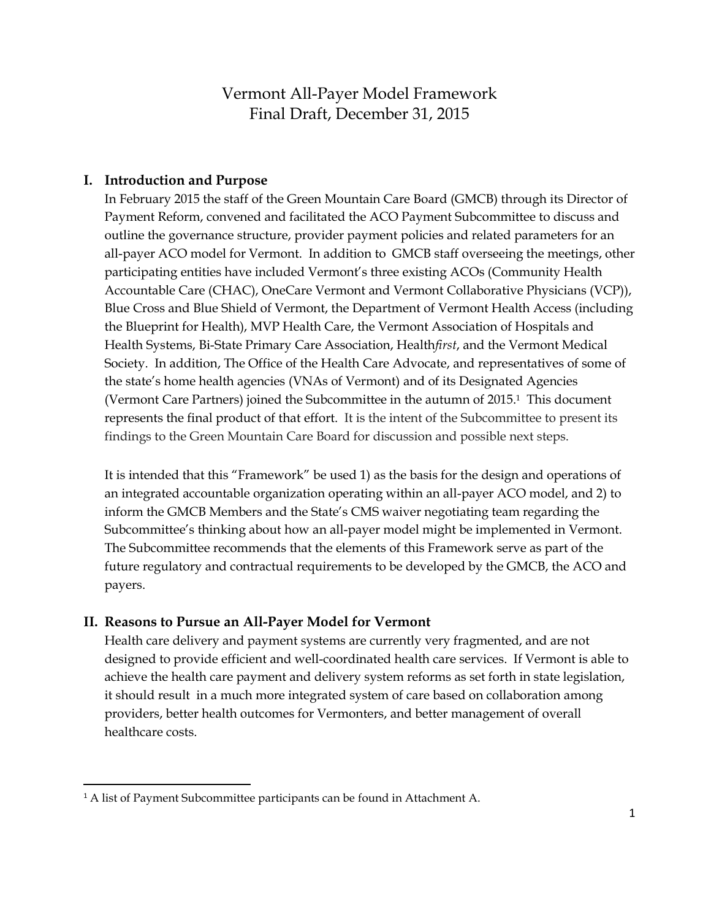## Vermont All-Payer Model Framework Final Draft, December 31, 2015

#### **I. Introduction and Purpose**

In February 2015 the staff of the Green Mountain Care Board (GMCB) through its Director of Payment Reform, convened and facilitated the ACO Payment Subcommittee to discuss and outline the governance structure, provider payment policies and related parameters for an all-payer ACO model for Vermont. In addition to GMCB staff overseeing the meetings, other participating entities have included Vermont's three existing ACOs (Community Health Accountable Care (CHAC), OneCare Vermont and Vermont Collaborative Physicians (VCP)), Blue Cross and Blue Shield of Vermont, the Department of Vermont Health Access (including the Blueprint for Health), MVP Health Care, the Vermont Association of Hospitals and Health Systems, Bi-State Primary Care Association, Health*first*, and the Vermont Medical Society. In addition, The Office of the Health Care Advocate, and representatives of some of the state's home health agencies (VNAs of Vermont) and of its Designated Agencies (Vermont Care Partners) joined the Subcommittee in the autumn of 2015.1 This document represents the final product of that effort. It is the intent of the Subcommittee to present its findings to the Green Mountain Care Board for discussion and possible next steps.

It is intended that this "Framework" be used 1) as the basis for the design and operations of an integrated accountable organization operating within an all-payer ACO model, and 2) to inform the GMCB Members and the State's CMS waiver negotiating team regarding the Subcommittee's thinking about how an all-payer model might be implemented in Vermont. The Subcommittee recommends that the elements of this Framework serve as part of the future regulatory and contractual requirements to be developed by the GMCB, the ACO and payers.

#### **II. Reasons to Pursue an All-Payer Model for Vermont**

Health care delivery and payment systems are currently very fragmented, and are not designed to provide efficient and well-coordinated health care services. If Vermont is able to achieve the health care payment and delivery system reforms as set forth in state legislation, it should result in a much more integrated system of care based on collaboration among providers, better health outcomes for Vermonters, and better management of overall healthcare costs.

 $\overline{\phantom{a}}$ 

<sup>&</sup>lt;sup>1</sup> A list of Payment Subcommittee participants can be found in Attachment A.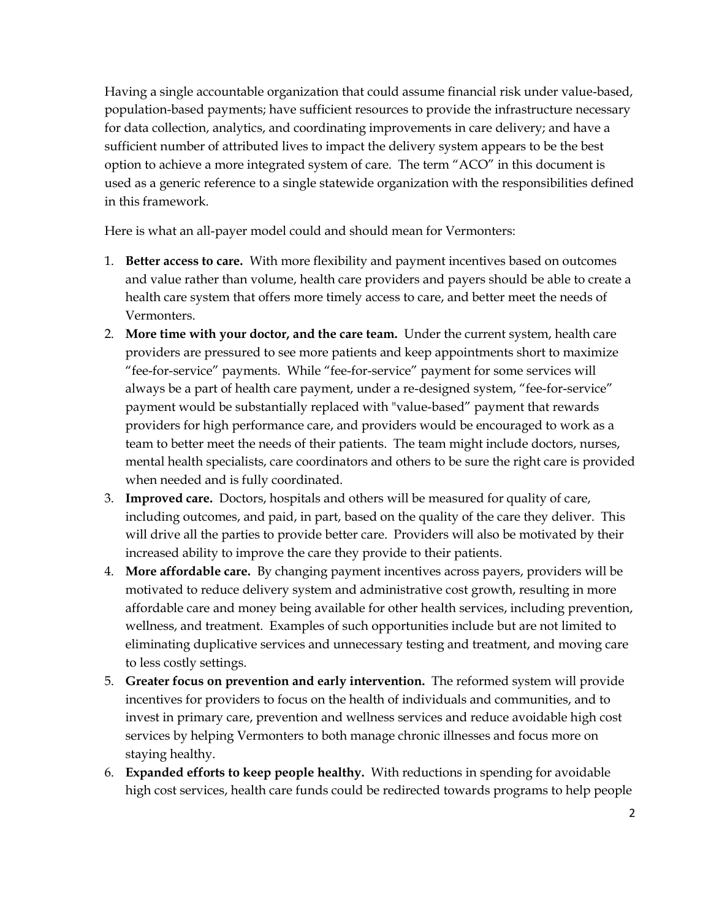Having a single accountable organization that could assume financial risk under value-based, population-based payments; have sufficient resources to provide the infrastructure necessary for data collection, analytics, and coordinating improvements in care delivery; and have a sufficient number of attributed lives to impact the delivery system appears to be the best option to achieve a more integrated system of care. The term "ACO" in this document is used as a generic reference to a single statewide organization with the responsibilities defined in this framework.

Here is what an all-payer model could and should mean for Vermonters:

- 1. **Better access to care.** With more flexibility and payment incentives based on outcomes and value rather than volume, health care providers and payers should be able to create a health care system that offers more timely access to care, and better meet the needs of Vermonters.
- 2. **More time with your doctor, and the care team.** Under the current system, health care providers are pressured to see more patients and keep appointments short to maximize "fee-for-service" payments. While "fee-for-service" payment for some services will always be a part of health care payment, under a re-designed system, "fee-for-service" payment would be substantially replaced with "value-based" payment that rewards providers for high performance care, and providers would be encouraged to work as a team to better meet the needs of their patients. The team might include doctors, nurses, mental health specialists, care coordinators and others to be sure the right care is provided when needed and is fully coordinated.
- 3. **Improved care.** Doctors, hospitals and others will be measured for quality of care, including outcomes, and paid, in part, based on the quality of the care they deliver. This will drive all the parties to provide better care. Providers will also be motivated by their increased ability to improve the care they provide to their patients.
- 4. **More affordable care.** By changing payment incentives across payers, providers will be motivated to reduce delivery system and administrative cost growth, resulting in more affordable care and money being available for other health services, including prevention, wellness, and treatment. Examples of such opportunities include but are not limited to eliminating duplicative services and unnecessary testing and treatment, and moving care to less costly settings.
- 5. **Greater focus on prevention and early intervention.** The reformed system will provide incentives for providers to focus on the health of individuals and communities, and to invest in primary care, prevention and wellness services and reduce avoidable high cost services by helping Vermonters to both manage chronic illnesses and focus more on staying healthy.
- 6. **Expanded efforts to keep people healthy.** With reductions in spending for avoidable high cost services, health care funds could be redirected towards programs to help people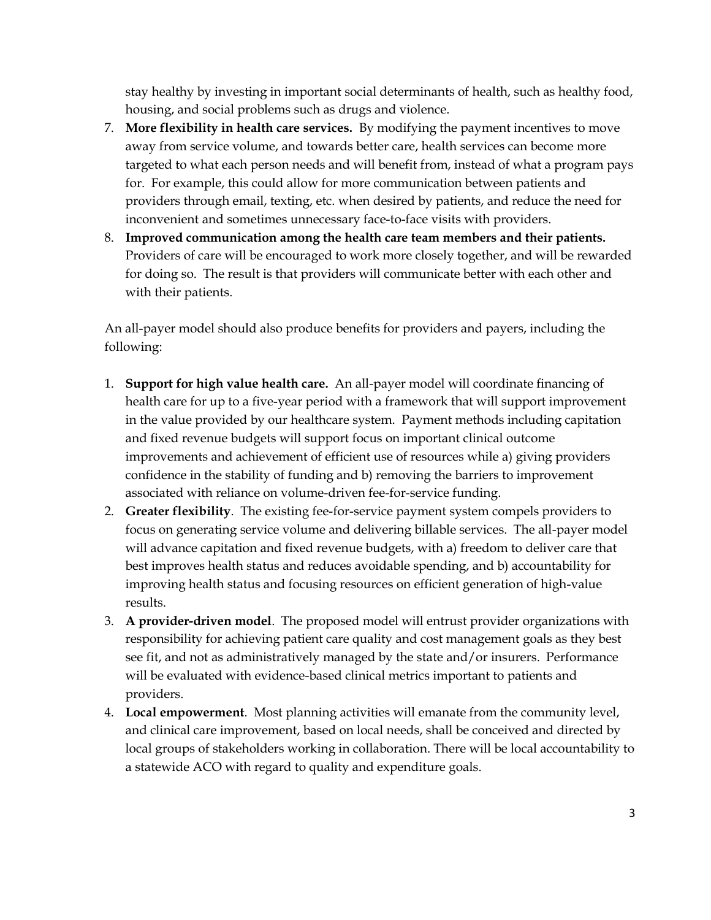stay healthy by investing in important social determinants of health, such as healthy food, housing, and social problems such as drugs and violence.

- 7. **More flexibility in health care services.** By modifying the payment incentives to move away from service volume, and towards better care, health services can become more targeted to what each person needs and will benefit from, instead of what a program pays for. For example, this could allow for more communication between patients and providers through email, texting, etc. when desired by patients, and reduce the need for inconvenient and sometimes unnecessary face-to-face visits with providers.
- 8. **Improved communication among the health care team members and their patients.** Providers of care will be encouraged to work more closely together, and will be rewarded for doing so. The result is that providers will communicate better with each other and with their patients.

An all-payer model should also produce benefits for providers and payers, including the following:

- 1. **Support for high value health care.** An all-payer model will coordinate financing of health care for up to a five-year period with a framework that will support improvement in the value provided by our healthcare system. Payment methods including capitation and fixed revenue budgets will support focus on important clinical outcome improvements and achievement of efficient use of resources while a) giving providers confidence in the stability of funding and b) removing the barriers to improvement associated with reliance on volume-driven fee-for-service funding.
- 2. **Greater flexibility**. The existing fee-for-service payment system compels providers to focus on generating service volume and delivering billable services. The all-payer model will advance capitation and fixed revenue budgets, with a) freedom to deliver care that best improves health status and reduces avoidable spending, and b) accountability for improving health status and focusing resources on efficient generation of high-value results.
- 3. **A provider-driven model**. The proposed model will entrust provider organizations with responsibility for achieving patient care quality and cost management goals as they best see fit, and not as administratively managed by the state and/or insurers. Performance will be evaluated with evidence-based clinical metrics important to patients and providers.
- 4. **Local empowerment**. Most planning activities will emanate from the community level, and clinical care improvement, based on local needs, shall be conceived and directed by local groups of stakeholders working in collaboration. There will be local accountability to a statewide ACO with regard to quality and expenditure goals.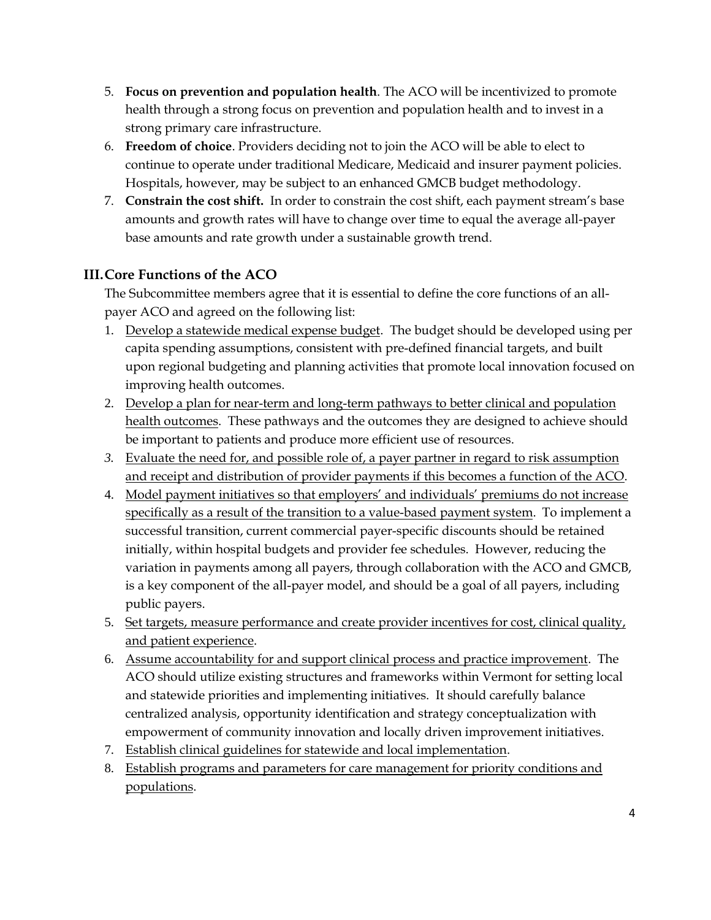- 5. **Focus on prevention and population health**. The ACO will be incentivized to promote health through a strong focus on prevention and population health and to invest in a strong primary care infrastructure.
- 6. **Freedom of choice**. Providers deciding not to join the ACO will be able to elect to continue to operate under traditional Medicare, Medicaid and insurer payment policies. Hospitals, however, may be subject to an enhanced GMCB budget methodology.
- 7. **Constrain the cost shift.** In order to constrain the cost shift, each payment stream's base amounts and growth rates will have to change over time to equal the average all-payer base amounts and rate growth under a sustainable growth trend.

## **III.Core Functions of the ACO**

The Subcommittee members agree that it is essential to define the core functions of an allpayer ACO and agreed on the following list:

- 1. Develop a statewide medical expense budget. The budget should be developed using per capita spending assumptions, consistent with pre-defined financial targets, and built upon regional budgeting and planning activities that promote local innovation focused on improving health outcomes.
- 2. Develop a plan for near-term and long-term pathways to better clinical and population health outcomes. These pathways and the outcomes they are designed to achieve should be important to patients and produce more efficient use of resources.
- *3.* Evaluate the need for, and possible role of, a payer partner in regard to risk assumption and receipt and distribution of provider payments if this becomes a function of the ACO.
- 4. Model payment initiatives so that employers' and individuals' premiums do not increase specifically as a result of the transition to a value-based payment system. To implement a successful transition, current commercial payer-specific discounts should be retained initially, within hospital budgets and provider fee schedules. However, reducing the variation in payments among all payers, through collaboration with the ACO and GMCB, is a key component of the all-payer model, and should be a goal of all payers, including public payers.
- 5. Set targets, measure performance and create provider incentives for cost, clinical quality, and patient experience.
- 6. Assume accountability for and support clinical process and practice improvement. The ACO should utilize existing structures and frameworks within Vermont for setting local and statewide priorities and implementing initiatives. It should carefully balance centralized analysis, opportunity identification and strategy conceptualization with empowerment of community innovation and locally driven improvement initiatives.
- 7. Establish clinical guidelines for statewide and local implementation.
- 8. Establish programs and parameters for care management for priority conditions and populations.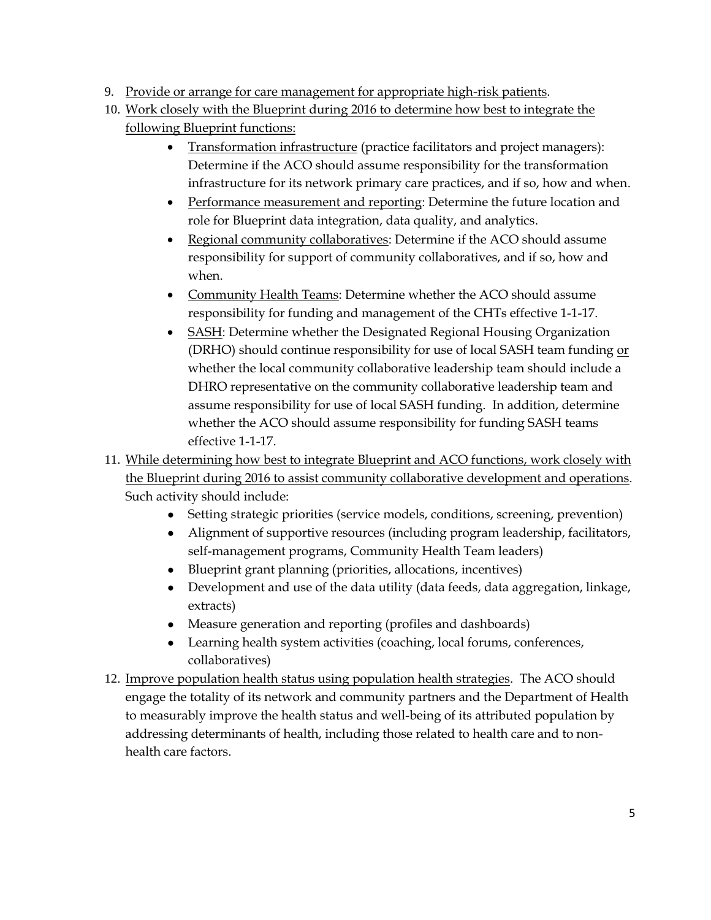- 9. Provide or arrange for care management for appropriate high-risk patients.
- 10. Work closely with the Blueprint during 2016 to determine how best to integrate the following Blueprint functions:
	- Transformation infrastructure (practice facilitators and project managers): Determine if the ACO should assume responsibility for the transformation infrastructure for its network primary care practices, and if so, how and when.
	- Performance measurement and reporting: Determine the future location and role for Blueprint data integration, data quality, and analytics.
	- Regional community collaboratives: Determine if the ACO should assume responsibility for support of community collaboratives, and if so, how and when.
	- Community Health Teams: Determine whether the ACO should assume responsibility for funding and management of the CHTs effective 1-1-17.
	- SASH: Determine whether the Designated Regional Housing Organization (DRHO) should continue responsibility for use of local SASH team funding or whether the local community collaborative leadership team should include a DHRO representative on the community collaborative leadership team and assume responsibility for use of local SASH funding. In addition, determine whether the ACO should assume responsibility for funding SASH teams effective 1-1-17.
- 11. While determining how best to integrate Blueprint and ACO functions, work closely with the Blueprint during 2016 to assist community collaborative development and operations. Such activity should include:
	- Setting strategic priorities (service models, conditions, screening, prevention)
	- Alignment of supportive resources (including program leadership, facilitators, self-management programs, Community Health Team leaders)
	- Blueprint grant planning (priorities, allocations, incentives)
	- Development and use of the data utility (data feeds, data aggregation, linkage, extracts)
	- Measure generation and reporting (profiles and dashboards)
	- Learning health system activities (coaching, local forums, conferences, collaboratives)
- 12. Improve population health status using population health strategies. The ACO should engage the totality of its network and community partners and the Department of Health to measurably improve the health status and well-being of its attributed population by addressing determinants of health, including those related to health care and to nonhealth care factors.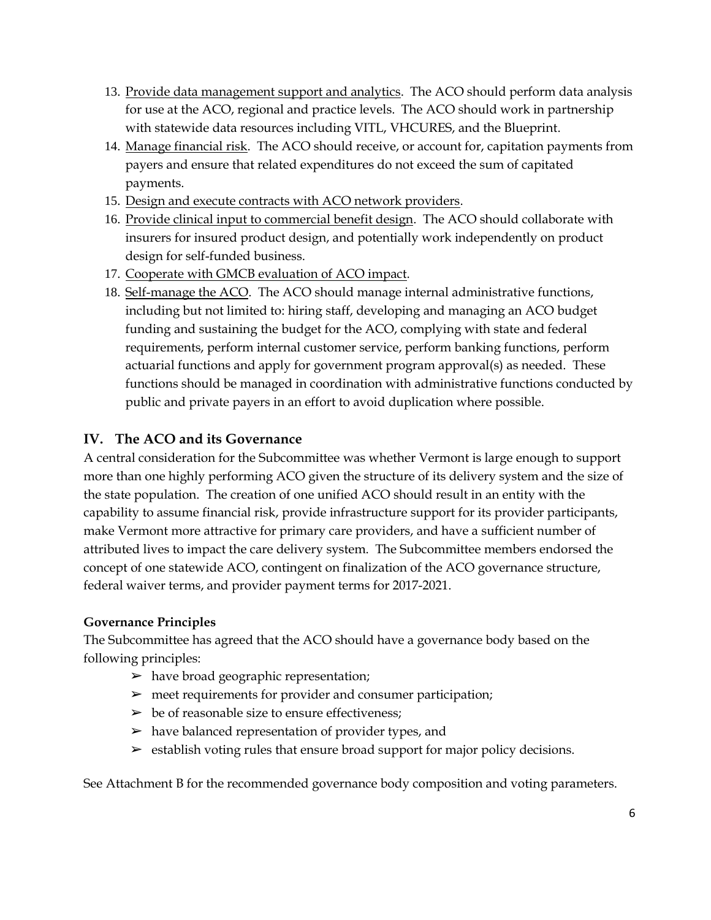- 13. Provide data management support and analytics. The ACO should perform data analysis for use at the ACO, regional and practice levels. The ACO should work in partnership with statewide data resources including VITL, VHCURES, and the Blueprint.
- 14. Manage financial risk. The ACO should receive, or account for, capitation payments from payers and ensure that related expenditures do not exceed the sum of capitated payments.
- 15. Design and execute contracts with ACO network providers.
- 16. Provide clinical input to commercial benefit design. The ACO should collaborate with insurers for insured product design, and potentially work independently on product design for self-funded business.
- 17. Cooperate with GMCB evaluation of ACO impact.
- 18. Self-manage the ACO. The ACO should manage internal administrative functions, including but not limited to: hiring staff, developing and managing an ACO budget funding and sustaining the budget for the ACO, complying with state and federal requirements, perform internal customer service, perform banking functions, perform actuarial functions and apply for government program approval(s) as needed. These functions should be managed in coordination with administrative functions conducted by public and private payers in an effort to avoid duplication where possible.

## **IV. The ACO and its Governance**

A central consideration for the Subcommittee was whether Vermont is large enough to support more than one highly performing ACO given the structure of its delivery system and the size of the state population. The creation of one unified ACO should result in an entity with the capability to assume financial risk, provide infrastructure support for its provider participants, make Vermont more attractive for primary care providers, and have a sufficient number of attributed lives to impact the care delivery system. The Subcommittee members endorsed the concept of one statewide ACO, contingent on finalization of the ACO governance structure, federal waiver terms, and provider payment terms for 2017-2021.

#### **Governance Principles**

The Subcommittee has agreed that the ACO should have a governance body based on the following principles:

- $\triangleright$  have broad geographic representation;
- $\triangleright$  meet requirements for provider and consumer participation;
- $\triangleright$  be of reasonable size to ensure effectiveness;
- $\blacktriangleright$  have balanced representation of provider types, and
- $\triangleright$  establish voting rules that ensure broad support for major policy decisions.

See Attachment B for the recommended governance body composition and voting parameters.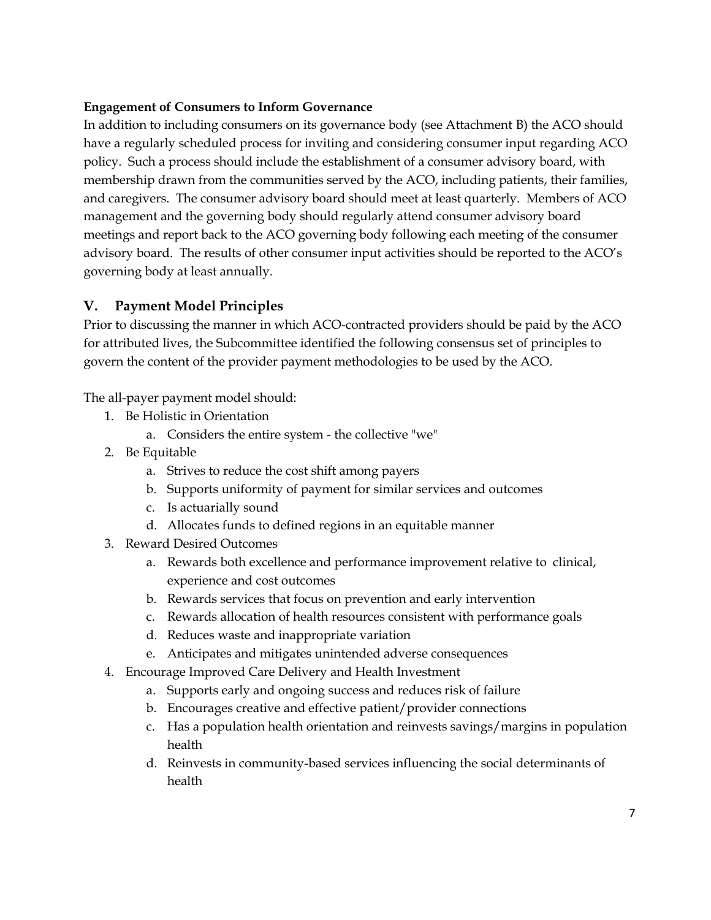#### **Engagement of Consumers to Inform Governance**

In addition to including consumers on its governance body (see Attachment B) the ACO should have a regularly scheduled process for inviting and considering consumer input regarding ACO policy. Such a process should include the establishment of a consumer advisory board, with membership drawn from the communities served by the ACO, including patients, their families, and caregivers. The consumer advisory board should meet at least quarterly. Members of ACO management and the governing body should regularly attend consumer advisory board meetings and report back to the ACO governing body following each meeting of the consumer advisory board. The results of other consumer input activities should be reported to the ACO's governing body at least annually.

### **V. Payment Model Principles**

Prior to discussing the manner in which ACO-contracted providers should be paid by the ACO for attributed lives, the Subcommittee identified the following consensus set of principles to govern the content of the provider payment methodologies to be used by the ACO.

The all-payer payment model should:

- 1. Be Holistic in Orientation
	- a. Considers the entire system the collective "we"
- 2. Be Equitable
	- a. Strives to reduce the cost shift among payers
	- b. Supports uniformity of payment for similar services and outcomes
	- c. Is actuarially sound
	- d. Allocates funds to defined regions in an equitable manner
- 3. Reward Desired Outcomes
	- a. Rewards both excellence and performance improvement relative to clinical, experience and cost outcomes
	- b. Rewards services that focus on prevention and early intervention
	- c. Rewards allocation of health resources consistent with performance goals
	- d. Reduces waste and inappropriate variation
	- e. Anticipates and mitigates unintended adverse consequences
- 4. Encourage Improved Care Delivery and Health Investment
	- a. Supports early and ongoing success and reduces risk of failure
	- b. Encourages creative and effective patient/provider connections
	- c. Has a population health orientation and reinvests savings/margins in population health
	- d. Reinvests in community-based services influencing the social determinants of health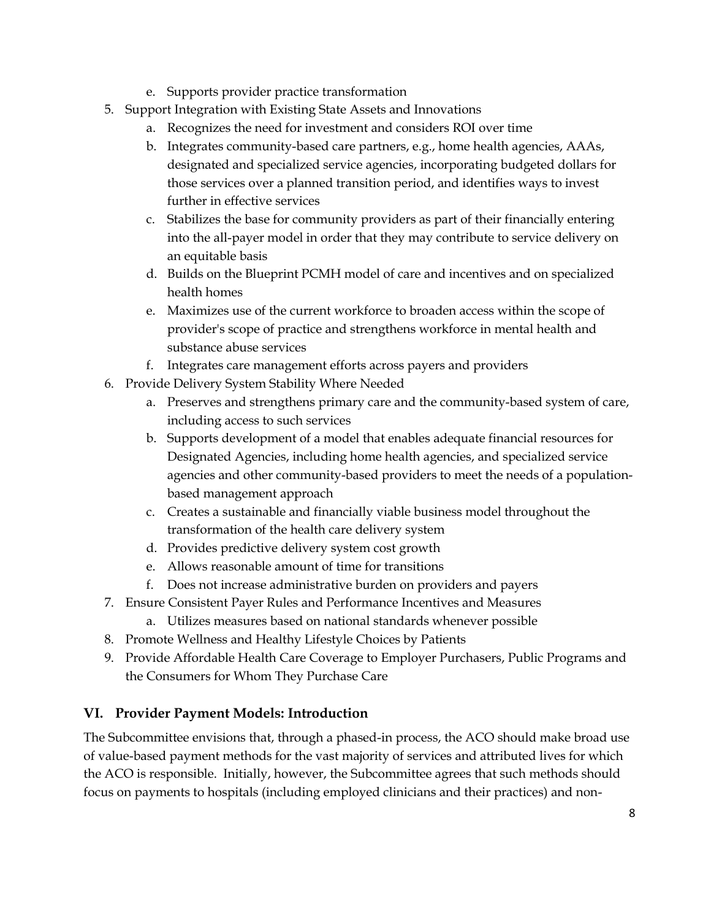- e. Supports provider practice transformation
- 5. Support Integration with Existing State Assets and Innovations
	- a. Recognizes the need for investment and considers ROI over time
	- b. Integrates community-based care partners, e.g., home health agencies, AAAs, designated and specialized service agencies, incorporating budgeted dollars for those services over a planned transition period, and identifies ways to invest further in effective services
	- c. Stabilizes the base for community providers as part of their financially entering into the all-payer model in order that they may contribute to service delivery on an equitable basis
	- d. Builds on the Blueprint PCMH model of care and incentives and on specialized health homes
	- e. Maximizes use of the current workforce to broaden access within the scope of provider's scope of practice and strengthens workforce in mental health and substance abuse services
	- f. Integrates care management efforts across payers and providers
- 6. Provide Delivery System Stability Where Needed
	- a. Preserves and strengthens primary care and the community-based system of care, including access to such services
	- b. Supports development of a model that enables adequate financial resources for Designated Agencies, including home health agencies, and specialized service agencies and other community-based providers to meet the needs of a populationbased management approach
	- c. Creates a sustainable and financially viable business model throughout the transformation of the health care delivery system
	- d. Provides predictive delivery system cost growth
	- e. Allows reasonable amount of time for transitions
	- f. Does not increase administrative burden on providers and payers
- 7. Ensure Consistent Payer Rules and Performance Incentives and Measures
	- a. Utilizes measures based on national standards whenever possible
- 8. Promote Wellness and Healthy Lifestyle Choices by Patients
- 9. Provide Affordable Health Care Coverage to Employer Purchasers, Public Programs and the Consumers for Whom They Purchase Care

## **VI. Provider Payment Models: Introduction**

The Subcommittee envisions that, through a phased-in process, the ACO should make broad use of value-based payment methods for the vast majority of services and attributed lives for which the ACO is responsible. Initially, however, the Subcommittee agrees that such methods should focus on payments to hospitals (including employed clinicians and their practices) and non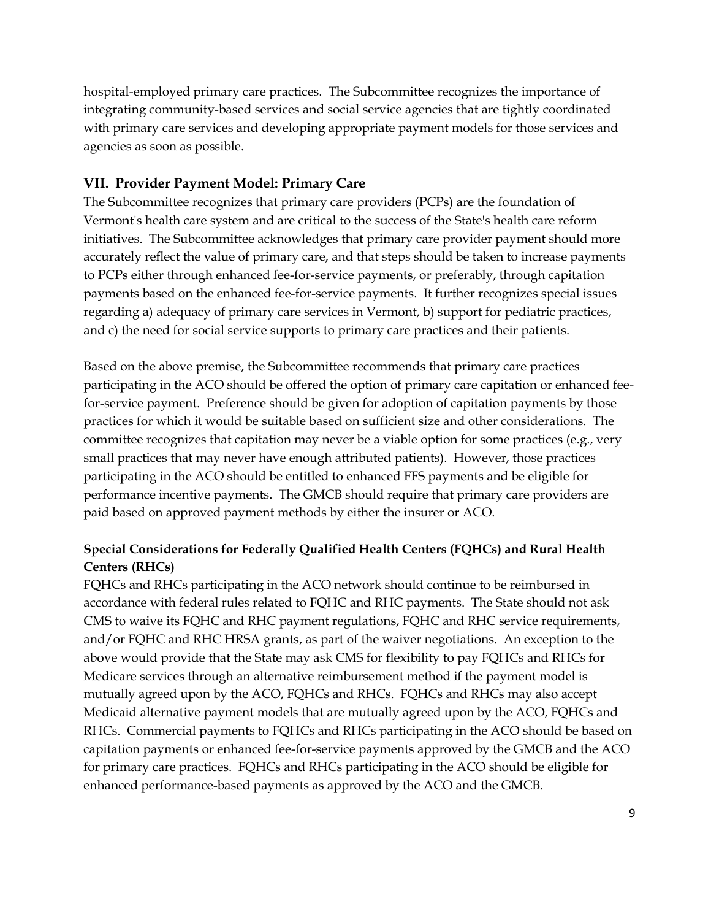hospital-employed primary care practices. The Subcommittee recognizes the importance of integrating community-based services and social service agencies that are tightly coordinated with primary care services and developing appropriate payment models for those services and agencies as soon as possible.

## **VII. Provider Payment Model: Primary Care**

The Subcommittee recognizes that primary care providers (PCPs) are the foundation of Vermont's health care system and are critical to the success of the State's health care reform initiatives. The Subcommittee acknowledges that primary care provider payment should more accurately reflect the value of primary care, and that steps should be taken to increase payments to PCPs either through enhanced fee-for-service payments, or preferably, through capitation payments based on the enhanced fee-for-service payments. It further recognizes special issues regarding a) adequacy of primary care services in Vermont, b) support for pediatric practices, and c) the need for social service supports to primary care practices and their patients.

Based on the above premise, the Subcommittee recommends that primary care practices participating in the ACO should be offered the option of primary care capitation or enhanced feefor-service payment. Preference should be given for adoption of capitation payments by those practices for which it would be suitable based on sufficient size and other considerations. The committee recognizes that capitation may never be a viable option for some practices (e.g., very small practices that may never have enough attributed patients). However, those practices participating in the ACO should be entitled to enhanced FFS payments and be eligible for performance incentive payments. The GMCB should require that primary care providers are paid based on approved payment methods by either the insurer or ACO.

## **Special Considerations for Federally Qualified Health Centers (FQHCs) and Rural Health Centers (RHCs)**

FQHCs and RHCs participating in the ACO network should continue to be reimbursed in accordance with federal rules related to FQHC and RHC payments. The State should not ask CMS to waive its FQHC and RHC payment regulations, FQHC and RHC service requirements, and/or FQHC and RHC HRSA grants, as part of the waiver negotiations. An exception to the above would provide that the State may ask CMS for flexibility to pay FQHCs and RHCs for Medicare services through an alternative reimbursement method if the payment model is mutually agreed upon by the ACO, FQHCs and RHCs. FQHCs and RHCs may also accept Medicaid alternative payment models that are mutually agreed upon by the ACO, FQHCs and RHCs. Commercial payments to FQHCs and RHCs participating in the ACO should be based on capitation payments or enhanced fee-for-service payments approved by the GMCB and the ACO for primary care practices. FQHCs and RHCs participating in the ACO should be eligible for enhanced performance-based payments as approved by the ACO and the GMCB.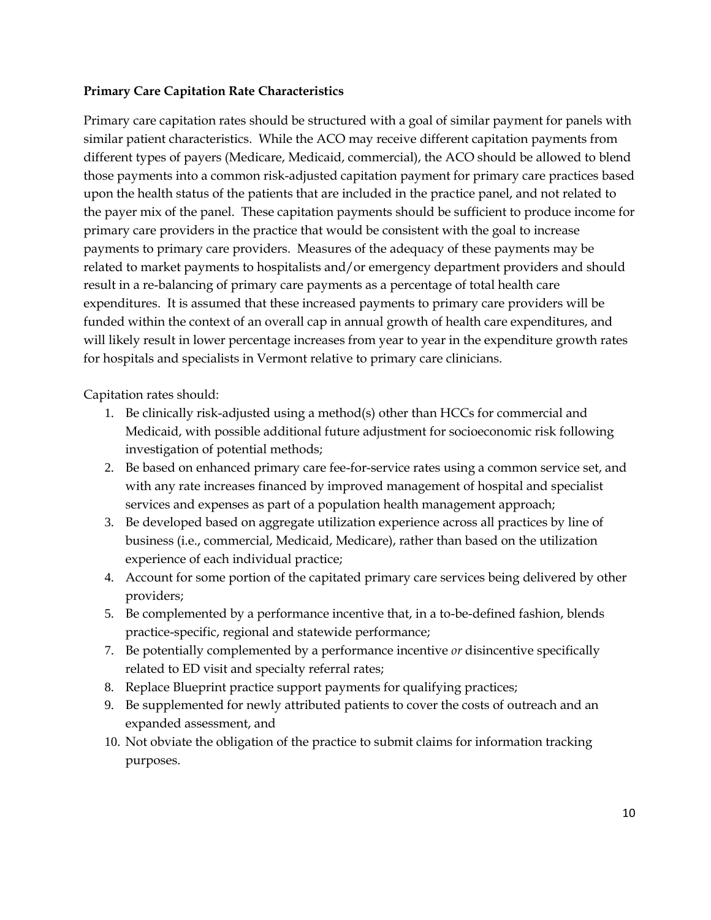#### **Primary Care Capitation Rate Characteristics**

Primary care capitation rates should be structured with a goal of similar payment for panels with similar patient characteristics. While the ACO may receive different capitation payments from different types of payers (Medicare, Medicaid, commercial), the ACO should be allowed to blend those payments into a common risk-adjusted capitation payment for primary care practices based upon the health status of the patients that are included in the practice panel, and not related to the payer mix of the panel. These capitation payments should be sufficient to produce income for primary care providers in the practice that would be consistent with the goal to increase payments to primary care providers. Measures of the adequacy of these payments may be related to market payments to hospitalists and/or emergency department providers and should result in a re-balancing of primary care payments as a percentage of total health care expenditures. It is assumed that these increased payments to primary care providers will be funded within the context of an overall cap in annual growth of health care expenditures, and will likely result in lower percentage increases from year to year in the expenditure growth rates for hospitals and specialists in Vermont relative to primary care clinicians.

Capitation rates should:

- 1. Be clinically risk-adjusted using a method(s) other than HCCs for commercial and Medicaid, with possible additional future adjustment for socioeconomic risk following investigation of potential methods;
- 2. Be based on enhanced primary care fee-for-service rates using a common service set, and with any rate increases financed by improved management of hospital and specialist services and expenses as part of a population health management approach;
- 3. Be developed based on aggregate utilization experience across all practices by line of business (i.e., commercial, Medicaid, Medicare), rather than based on the utilization experience of each individual practice;
- 4. Account for some portion of the capitated primary care services being delivered by other providers;
- 5. Be complemented by a performance incentive that, in a to-be-defined fashion, blends practice-specific, regional and statewide performance;
- 7. Be potentially complemented by a performance incentive *or* disincentive specifically related to ED visit and specialty referral rates;
- 8. Replace Blueprint practice support payments for qualifying practices;
- 9. Be supplemented for newly attributed patients to cover the costs of outreach and an expanded assessment, and
- 10. Not obviate the obligation of the practice to submit claims for information tracking purposes.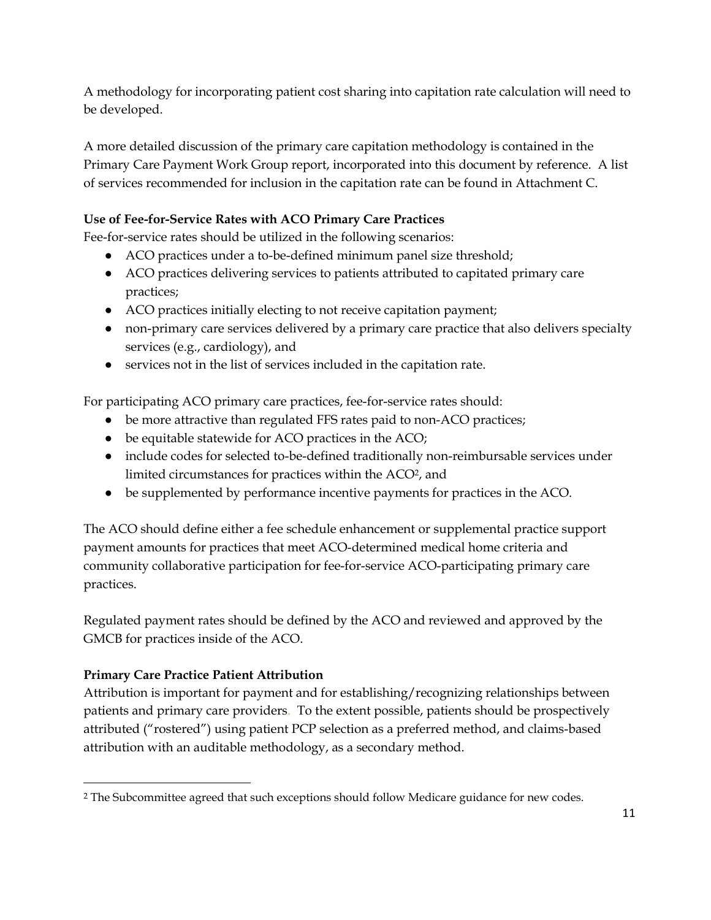A methodology for incorporating patient cost sharing into capitation rate calculation will need to be developed.

A more detailed discussion of the primary care capitation methodology is contained in the Primary Care Payment Work Group report, incorporated into this document by reference. A list of services recommended for inclusion in the capitation rate can be found in Attachment C.

## **Use of Fee-for-Service Rates with ACO Primary Care Practices**

Fee-for-service rates should be utilized in the following scenarios:

- ACO practices under a to-be-defined minimum panel size threshold;
- ACO practices delivering services to patients attributed to capitated primary care practices;
- ACO practices initially electing to not receive capitation payment;
- non-primary care services delivered by a primary care practice that also delivers specialty services (e.g., cardiology), and
- services not in the list of services included in the capitation rate.

For participating ACO primary care practices, fee-for-service rates should:

- be more attractive than regulated FFS rates paid to non-ACO practices;
- be equitable statewide for ACO practices in the ACO;
- include codes for selected to-be-defined traditionally non-reimbursable services under limited circumstances for practices within the ACO<sup>2</sup>, and
- be supplemented by performance incentive payments for practices in the ACO.

The ACO should define either a fee schedule enhancement or supplemental practice support payment amounts for practices that meet ACO-determined medical home criteria and community collaborative participation for fee-for-service ACO-participating primary care practices.

Regulated payment rates should be defined by the ACO and reviewed and approved by the GMCB for practices inside of the ACO.

## **Primary Care Practice Patient Attribution**

 $\overline{a}$ 

Attribution is important for payment and for establishing/recognizing relationships between patients and primary care providers. To the extent possible, patients should be prospectively attributed ("rostered") using patient PCP selection as a preferred method, and claims-based attribution with an auditable methodology, as a secondary method.

<sup>2</sup> The Subcommittee agreed that such exceptions should follow Medicare guidance for new codes.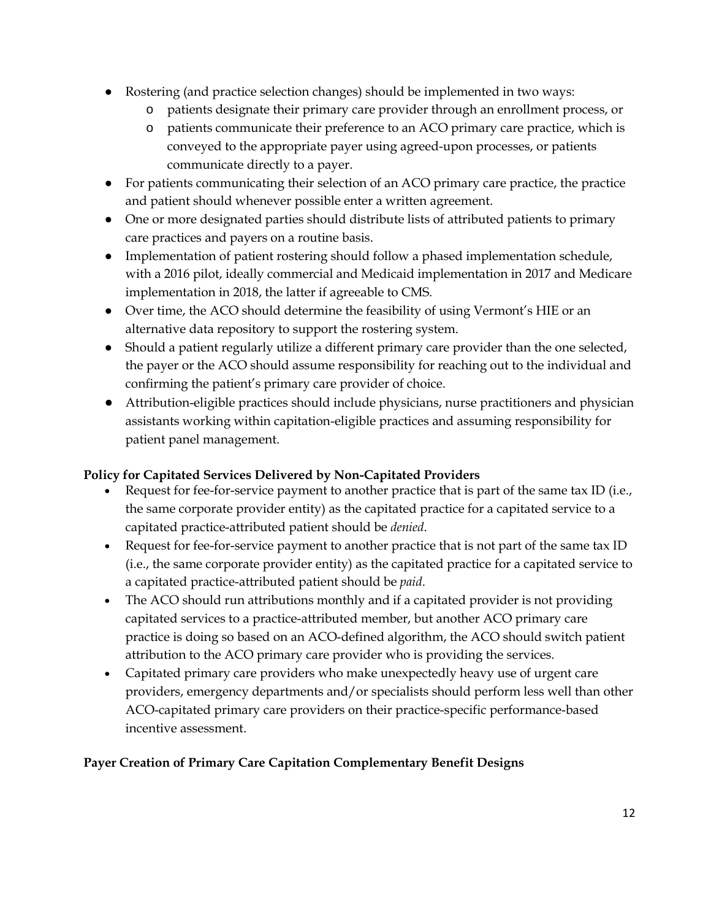- Rostering (and practice selection changes) should be implemented in two ways:
	- o patients designate their primary care provider through an enrollment process, or
	- o patients communicate their preference to an ACO primary care practice, which is conveyed to the appropriate payer using agreed-upon processes, or patients communicate directly to a payer.
- For patients communicating their selection of an ACO primary care practice, the practice and patient should whenever possible enter a written agreement.
- One or more designated parties should distribute lists of attributed patients to primary care practices and payers on a routine basis.
- Implementation of patient rostering should follow a phased implementation schedule, with a 2016 pilot, ideally commercial and Medicaid implementation in 2017 and Medicare implementation in 2018, the latter if agreeable to CMS.
- Over time, the ACO should determine the feasibility of using Vermont's HIE or an alternative data repository to support the rostering system.
- Should a patient regularly utilize a different primary care provider than the one selected, the payer or the ACO should assume responsibility for reaching out to the individual and confirming the patient's primary care provider of choice.
- Attribution-eligible practices should include physicians, nurse practitioners and physician assistants working within capitation-eligible practices and assuming responsibility for patient panel management.

## **Policy for Capitated Services Delivered by Non-Capitated Providers**

- Request for fee-for-service payment to another practice that is part of the same tax ID (i.e., the same corporate provider entity) as the capitated practice for a capitated service to a capitated practice-attributed patient should be *denied*.
- Request for fee-for-service payment to another practice that is not part of the same tax ID (i.e., the same corporate provider entity) as the capitated practice for a capitated service to a capitated practice-attributed patient should be *paid*.
- The ACO should run attributions monthly and if a capitated provider is not providing capitated services to a practice-attributed member, but another ACO primary care practice is doing so based on an ACO-defined algorithm, the ACO should switch patient attribution to the ACO primary care provider who is providing the services.
- Capitated primary care providers who make unexpectedly heavy use of urgent care providers, emergency departments and/or specialists should perform less well than other ACO-capitated primary care providers on their practice-specific performance-based incentive assessment.

## **Payer Creation of Primary Care Capitation Complementary Benefit Designs**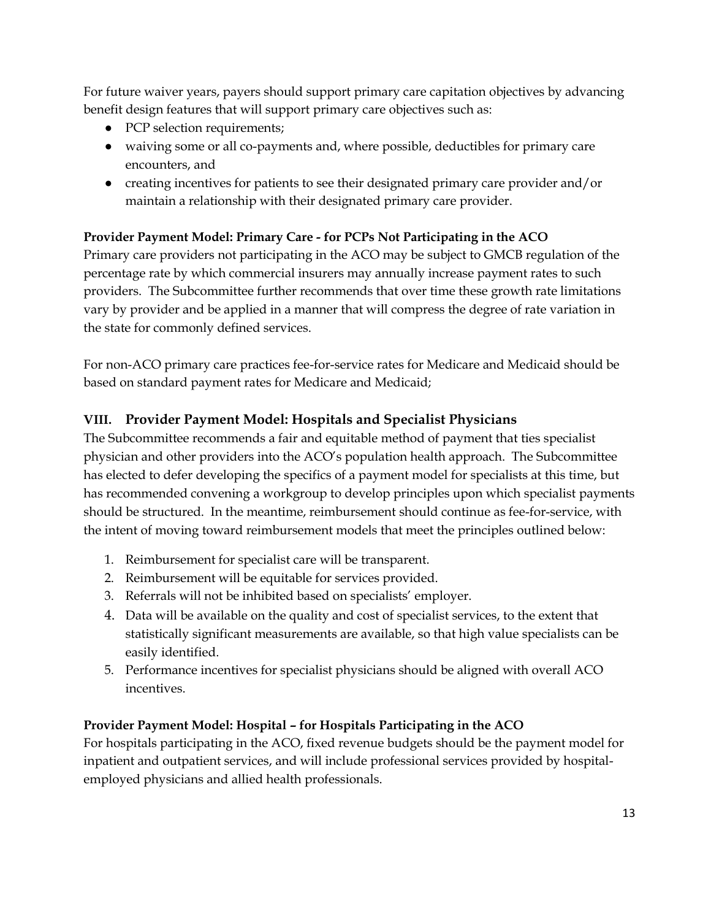For future waiver years, payers should support primary care capitation objectives by advancing benefit design features that will support primary care objectives such as:

- PCP selection requirements;
- waiving some or all co-payments and, where possible, deductibles for primary care encounters, and
- creating incentives for patients to see their designated primary care provider and/or maintain a relationship with their designated primary care provider.

## **Provider Payment Model: Primary Care - for PCPs Not Participating in the ACO**

Primary care providers not participating in the ACO may be subject to GMCB regulation of the percentage rate by which commercial insurers may annually increase payment rates to such providers. The Subcommittee further recommends that over time these growth rate limitations vary by provider and be applied in a manner that will compress the degree of rate variation in the state for commonly defined services.

For non-ACO primary care practices fee-for-service rates for Medicare and Medicaid should be based on standard payment rates for Medicare and Medicaid;

## **VIII. Provider Payment Model: Hospitals and Specialist Physicians**

The Subcommittee recommends a fair and equitable method of payment that ties specialist physician and other providers into the ACO's population health approach. The Subcommittee has elected to defer developing the specifics of a payment model for specialists at this time, but has recommended convening a workgroup to develop principles upon which specialist payments should be structured. In the meantime, reimbursement should continue as fee-for-service, with the intent of moving toward reimbursement models that meet the principles outlined below:

- 1. Reimbursement for specialist care will be transparent.
- 2. Reimbursement will be equitable for services provided.
- 3. Referrals will not be inhibited based on specialists' employer.
- 4. Data will be available on the quality and cost of specialist services, to the extent that statistically significant measurements are available, so that high value specialists can be easily identified.
- 5. Performance incentives for specialist physicians should be aligned with overall ACO incentives.

## **Provider Payment Model: Hospital – for Hospitals Participating in the ACO**

For hospitals participating in the ACO, fixed revenue budgets should be the payment model for inpatient and outpatient services, and will include professional services provided by hospitalemployed physicians and allied health professionals.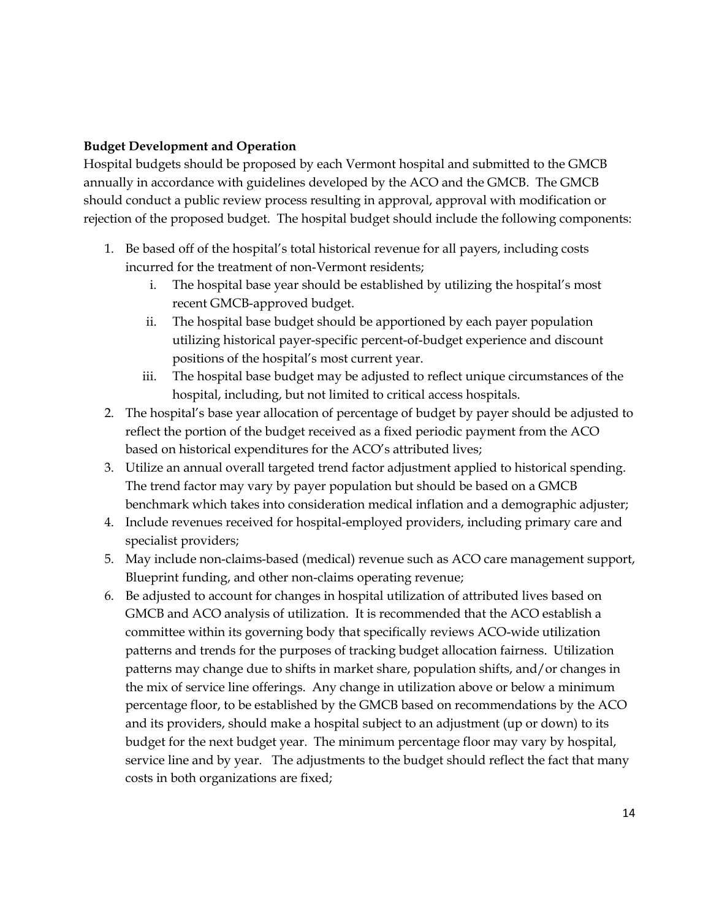#### **Budget Development and Operation**

Hospital budgets should be proposed by each Vermont hospital and submitted to the GMCB annually in accordance with guidelines developed by the ACO and the GMCB. The GMCB should conduct a public review process resulting in approval, approval with modification or rejection of the proposed budget. The hospital budget should include the following components:

- 1. Be based off of the hospital's total historical revenue for all payers, including costs incurred for the treatment of non-Vermont residents;
	- i. The hospital base year should be established by utilizing the hospital's most recent GMCB-approved budget.
	- ii. The hospital base budget should be apportioned by each payer population utilizing historical payer-specific percent-of-budget experience and discount positions of the hospital's most current year.
	- iii. The hospital base budget may be adjusted to reflect unique circumstances of the hospital, including, but not limited to critical access hospitals.
- 2. The hospital's base year allocation of percentage of budget by payer should be adjusted to reflect the portion of the budget received as a fixed periodic payment from the ACO based on historical expenditures for the ACO's attributed lives;
- 3. Utilize an annual overall targeted trend factor adjustment applied to historical spending. The trend factor may vary by payer population but should be based on a GMCB benchmark which takes into consideration medical inflation and a demographic adjuster;
- 4. Include revenues received for hospital-employed providers, including primary care and specialist providers;
- 5. May include non-claims-based (medical) revenue such as ACO care management support, Blueprint funding, and other non-claims operating revenue;
- 6. Be adjusted to account for changes in hospital utilization of attributed lives based on GMCB and ACO analysis of utilization. It is recommended that the ACO establish a committee within its governing body that specifically reviews ACO-wide utilization patterns and trends for the purposes of tracking budget allocation fairness. Utilization patterns may change due to shifts in market share, population shifts, and/or changes in the mix of service line offerings. Any change in utilization above or below a minimum percentage floor, to be established by the GMCB based on recommendations by the ACO and its providers, should make a hospital subject to an adjustment (up or down) to its budget for the next budget year. The minimum percentage floor may vary by hospital, service line and by year. The adjustments to the budget should reflect the fact that many costs in both organizations are fixed;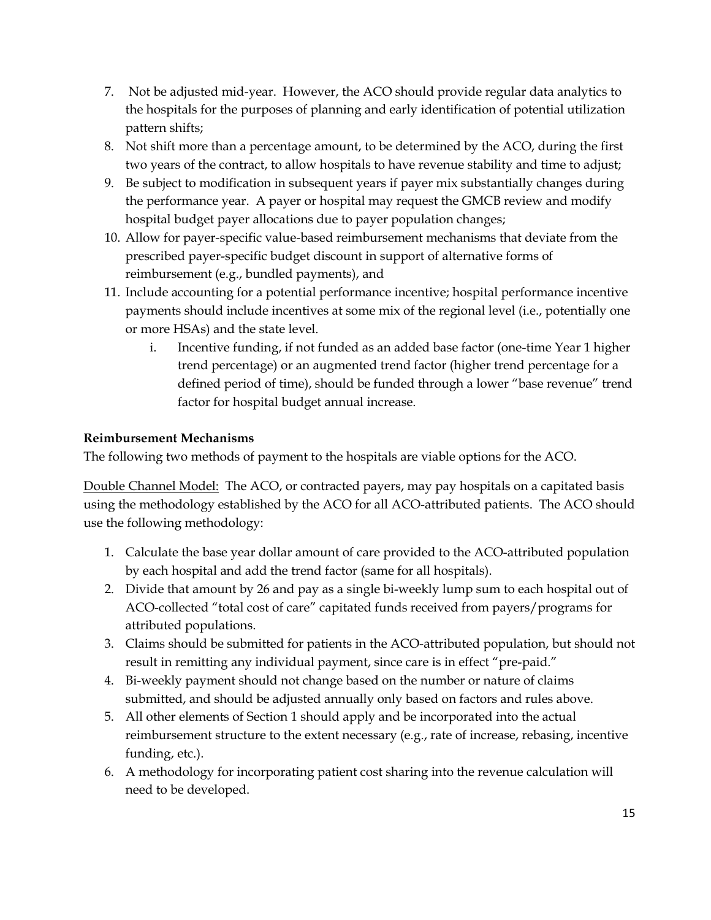- 7. Not be adjusted mid-year. However, the ACO should provide regular data analytics to the hospitals for the purposes of planning and early identification of potential utilization pattern shifts;
- 8. Not shift more than a percentage amount, to be determined by the ACO, during the first two years of the contract, to allow hospitals to have revenue stability and time to adjust;
- 9. Be subject to modification in subsequent years if payer mix substantially changes during the performance year. A payer or hospital may request the GMCB review and modify hospital budget payer allocations due to payer population changes;
- 10. Allow for payer-specific value-based reimbursement mechanisms that deviate from the prescribed payer-specific budget discount in support of alternative forms of reimbursement (e.g., bundled payments), and
- 11. Include accounting for a potential performance incentive; hospital performance incentive payments should include incentives at some mix of the regional level (i.e., potentially one or more HSAs) and the state level.
	- i. Incentive funding, if not funded as an added base factor (one-time Year 1 higher trend percentage) or an augmented trend factor (higher trend percentage for a defined period of time), should be funded through a lower "base revenue" trend factor for hospital budget annual increase.

### **Reimbursement Mechanisms**

The following two methods of payment to the hospitals are viable options for the ACO.

Double Channel Model: The ACO, or contracted payers, may pay hospitals on a capitated basis using the methodology established by the ACO for all ACO-attributed patients. The ACO should use the following methodology:

- 1. Calculate the base year dollar amount of care provided to the ACO-attributed population by each hospital and add the trend factor (same for all hospitals).
- 2. Divide that amount by 26 and pay as a single bi-weekly lump sum to each hospital out of ACO-collected "total cost of care" capitated funds received from payers/programs for attributed populations.
- 3. Claims should be submitted for patients in the ACO-attributed population, but should not result in remitting any individual payment, since care is in effect "pre-paid."
- 4. Bi-weekly payment should not change based on the number or nature of claims submitted, and should be adjusted annually only based on factors and rules above.
- 5. All other elements of Section 1 should apply and be incorporated into the actual reimbursement structure to the extent necessary (e.g., rate of increase, rebasing, incentive funding, etc.).
- 6. A methodology for incorporating patient cost sharing into the revenue calculation will need to be developed.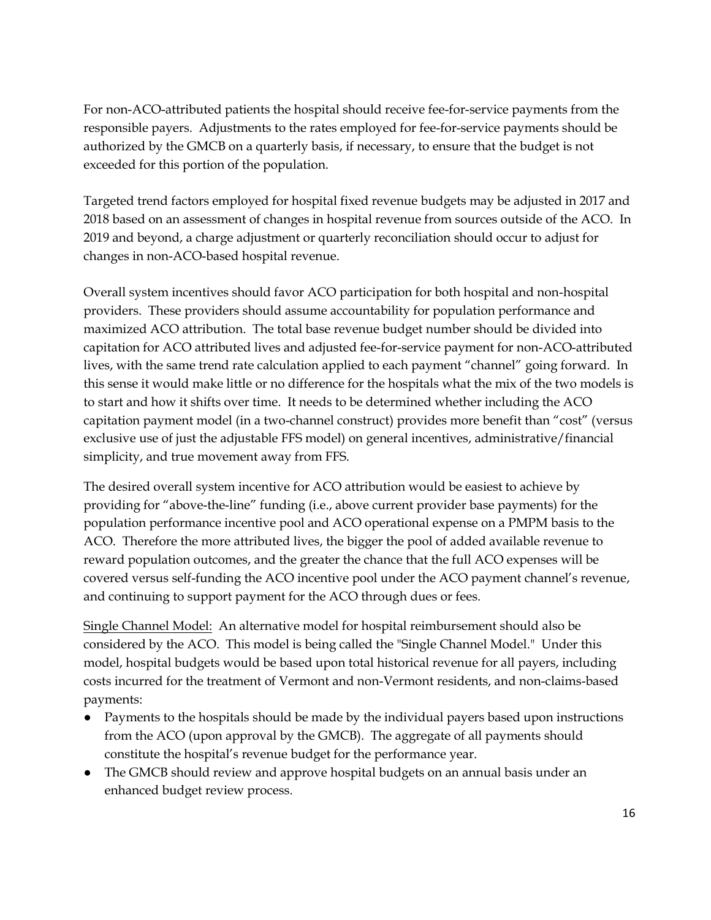For non-ACO-attributed patients the hospital should receive fee-for-service payments from the responsible payers. Adjustments to the rates employed for fee-for-service payments should be authorized by the GMCB on a quarterly basis, if necessary, to ensure that the budget is not exceeded for this portion of the population.

Targeted trend factors employed for hospital fixed revenue budgets may be adjusted in 2017 and 2018 based on an assessment of changes in hospital revenue from sources outside of the ACO. In 2019 and beyond, a charge adjustment or quarterly reconciliation should occur to adjust for changes in non-ACO-based hospital revenue.

Overall system incentives should favor ACO participation for both hospital and non-hospital providers. These providers should assume accountability for population performance and maximized ACO attribution. The total base revenue budget number should be divided into capitation for ACO attributed lives and adjusted fee-for-service payment for non-ACO-attributed lives, with the same trend rate calculation applied to each payment "channel" going forward. In this sense it would make little or no difference for the hospitals what the mix of the two models is to start and how it shifts over time. It needs to be determined whether including the ACO capitation payment model (in a two-channel construct) provides more benefit than "cost" (versus exclusive use of just the adjustable FFS model) on general incentives, administrative/financial simplicity, and true movement away from FFS.

The desired overall system incentive for ACO attribution would be easiest to achieve by providing for "above-the-line" funding (i.e., above current provider base payments) for the population performance incentive pool and ACO operational expense on a PMPM basis to the ACO. Therefore the more attributed lives, the bigger the pool of added available revenue to reward population outcomes, and the greater the chance that the full ACO expenses will be covered versus self-funding the ACO incentive pool under the ACO payment channel's revenue, and continuing to support payment for the ACO through dues or fees.

Single Channel Model: An alternative model for hospital reimbursement should also be considered by the ACO. This model is being called the "Single Channel Model." Under this model, hospital budgets would be based upon total historical revenue for all payers, including costs incurred for the treatment of Vermont and non-Vermont residents, and non-claims-based payments:

- Payments to the hospitals should be made by the individual payers based upon instructions from the ACO (upon approval by the GMCB). The aggregate of all payments should constitute the hospital's revenue budget for the performance year.
- The GMCB should review and approve hospital budgets on an annual basis under an enhanced budget review process.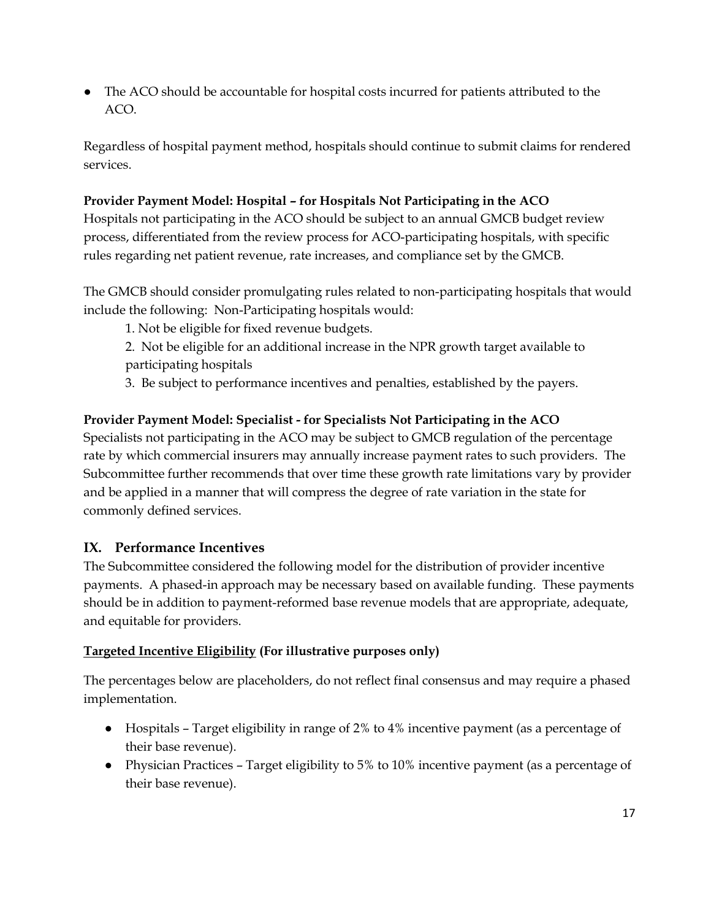● The ACO should be accountable for hospital costs incurred for patients attributed to the ACO.

Regardless of hospital payment method, hospitals should continue to submit claims for rendered services.

#### **Provider Payment Model: Hospital – for Hospitals Not Participating in the ACO**

Hospitals not participating in the ACO should be subject to an annual GMCB budget review process, differentiated from the review process for ACO-participating hospitals, with specific rules regarding net patient revenue, rate increases, and compliance set by the GMCB.

The GMCB should consider promulgating rules related to non-participating hospitals that would include the following: Non-Participating hospitals would:

1. Not be eligible for fixed revenue budgets.

2. Not be eligible for an additional increase in the NPR growth target available to participating hospitals

3. Be subject to performance incentives and penalties, established by the payers.

### **Provider Payment Model: Specialist - for Specialists Not Participating in the ACO**

Specialists not participating in the ACO may be subject to GMCB regulation of the percentage rate by which commercial insurers may annually increase payment rates to such providers. The Subcommittee further recommends that over time these growth rate limitations vary by provider and be applied in a manner that will compress the degree of rate variation in the state for commonly defined services.

## **IX. Performance Incentives**

The Subcommittee considered the following model for the distribution of provider incentive payments. A phased-in approach may be necessary based on available funding. These payments should be in addition to payment-reformed base revenue models that are appropriate, adequate, and equitable for providers.

#### **Targeted Incentive Eligibility (For illustrative purposes only)**

The percentages below are placeholders, do not reflect final consensus and may require a phased implementation.

- Hospitals Target eligibility in range of 2% to 4% incentive payment (as a percentage of their base revenue).
- Physician Practices Target eligibility to 5% to 10% incentive payment (as a percentage of their base revenue).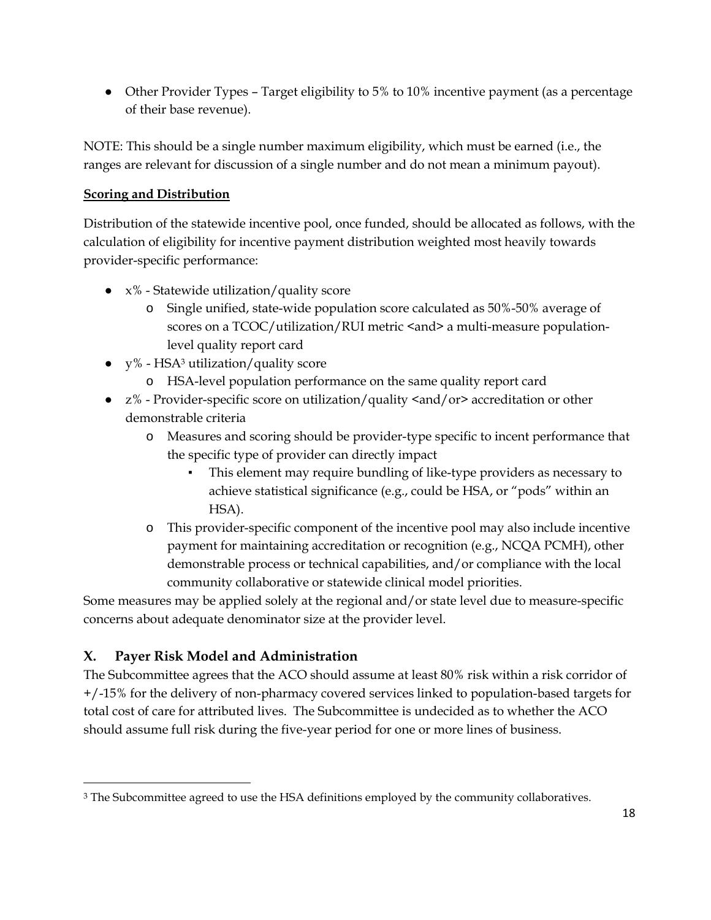• Other Provider Types – Target eligibility to 5% to 10% incentive payment (as a percentage of their base revenue).

NOTE: This should be a single number maximum eligibility, which must be earned (i.e., the ranges are relevant for discussion of a single number and do not mean a minimum payout).

## **Scoring and Distribution**

Distribution of the statewide incentive pool, once funded, should be allocated as follows, with the calculation of eligibility for incentive payment distribution weighted most heavily towards provider-specific performance:

- $x\%$  Statewide utilization/quality score
	- o Single unified, state-wide population score calculated as 50%-50% average of scores on a TCOC/utilization/RUI metric <and> a multi-measure populationlevel quality report card
- $\bullet$  y% HSA<sup>3</sup> utilization/quality score
	- o HSA-level population performance on the same quality report card
- z% Provider-specific score on utilization/quality <and/or> accreditation or other demonstrable criteria
	- o Measures and scoring should be provider-type specific to incent performance that the specific type of provider can directly impact
		- This element may require bundling of like-type providers as necessary to achieve statistical significance (e.g., could be HSA, or "pods" within an HSA).
	- o This provider-specific component of the incentive pool may also include incentive payment for maintaining accreditation or recognition (e.g., NCQA PCMH), other demonstrable process or technical capabilities, and/or compliance with the local community collaborative or statewide clinical model priorities.

Some measures may be applied solely at the regional and/or state level due to measure-specific concerns about adequate denominator size at the provider level.

## **X. Payer Risk Model and Administration**

 $\overline{a}$ 

The Subcommittee agrees that the ACO should assume at least 80% risk within a risk corridor of +/-15% for the delivery of non-pharmacy covered services linked to population-based targets for total cost of care for attributed lives. The Subcommittee is undecided as to whether the ACO should assume full risk during the five-year period for one or more lines of business.

<sup>&</sup>lt;sup>3</sup> The Subcommittee agreed to use the HSA definitions employed by the community collaboratives.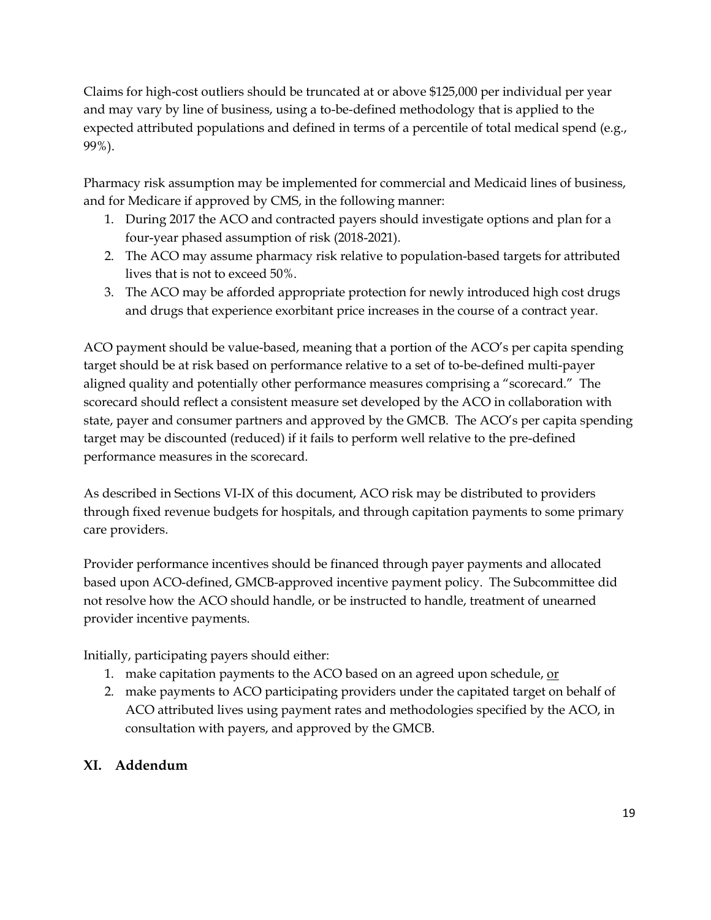Claims for high-cost outliers should be truncated at or above \$125,000 per individual per year and may vary by line of business, using a to-be-defined methodology that is applied to the expected attributed populations and defined in terms of a percentile of total medical spend (e.g., 99%).

Pharmacy risk assumption may be implemented for commercial and Medicaid lines of business, and for Medicare if approved by CMS, in the following manner:

- 1. During 2017 the ACO and contracted payers should investigate options and plan for a four-year phased assumption of risk (2018-2021).
- 2. The ACO may assume pharmacy risk relative to population-based targets for attributed lives that is not to exceed 50%.
- 3. The ACO may be afforded appropriate protection for newly introduced high cost drugs and drugs that experience exorbitant price increases in the course of a contract year.

ACO payment should be value-based, meaning that a portion of the ACO's per capita spending target should be at risk based on performance relative to a set of to-be-defined multi-payer aligned quality and potentially other performance measures comprising a "scorecard." The scorecard should reflect a consistent measure set developed by the ACO in collaboration with state, payer and consumer partners and approved by the GMCB. The ACO's per capita spending target may be discounted (reduced) if it fails to perform well relative to the pre-defined performance measures in the scorecard.

As described in Sections VI-IX of this document, ACO risk may be distributed to providers through fixed revenue budgets for hospitals, and through capitation payments to some primary care providers.

Provider performance incentives should be financed through payer payments and allocated based upon ACO-defined, GMCB-approved incentive payment policy. The Subcommittee did not resolve how the ACO should handle, or be instructed to handle, treatment of unearned provider incentive payments.

Initially, participating payers should either:

- 1. make capitation payments to the ACO based on an agreed upon schedule, or
- 2. make payments to ACO participating providers under the capitated target on behalf of ACO attributed lives using payment rates and methodologies specified by the ACO, in consultation with payers, and approved by the GMCB.

## **XI. Addendum**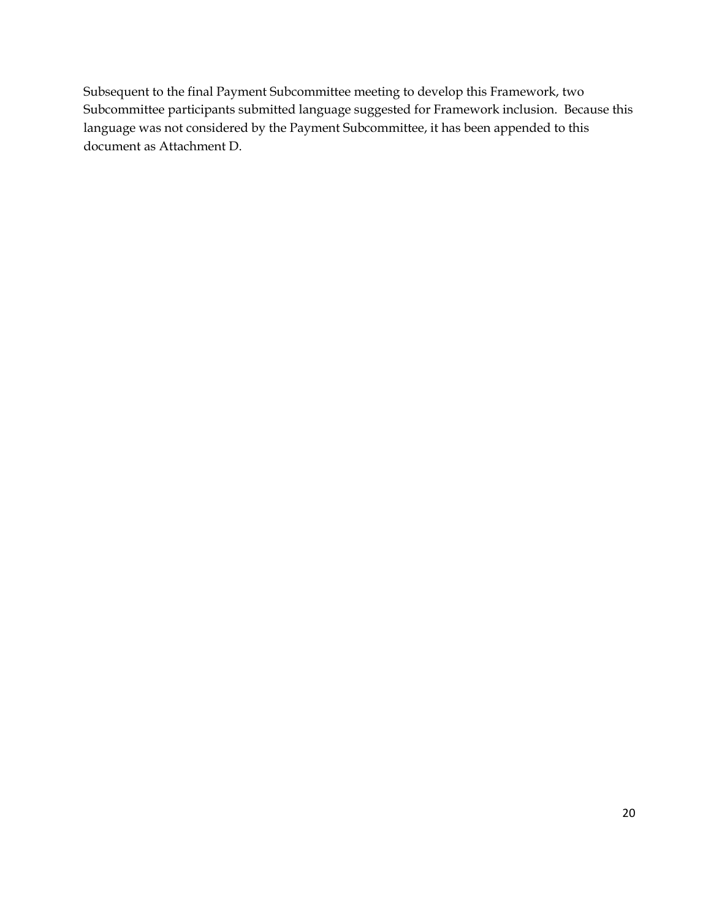Subsequent to the final Payment Subcommittee meeting to develop this Framework, two Subcommittee participants submitted language suggested for Framework inclusion. Because this language was not considered by the Payment Subcommittee, it has been appended to this document as Attachment D.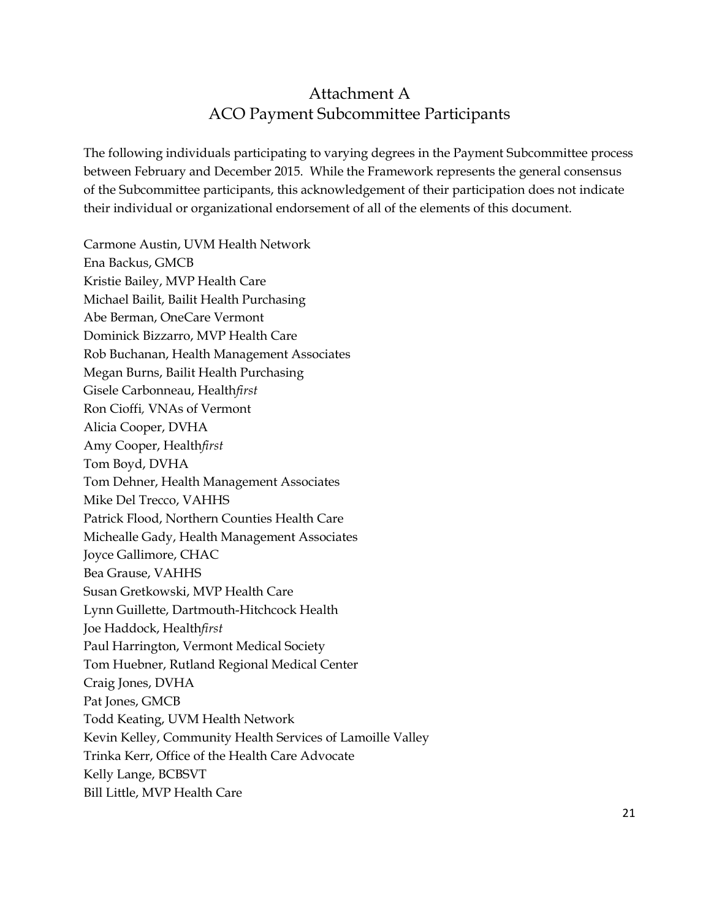# Attachment A ACO Payment Subcommittee Participants

The following individuals participating to varying degrees in the Payment Subcommittee process between February and December 2015. While the Framework represents the general consensus of the Subcommittee participants, this acknowledgement of their participation does not indicate their individual or organizational endorsement of all of the elements of this document.

Carmone Austin, UVM Health Network Ena Backus, GMCB Kristie Bailey, MVP Health Care Michael Bailit, Bailit Health Purchasing Abe Berman, OneCare Vermont Dominick Bizzarro, MVP Health Care Rob Buchanan, Health Management Associates Megan Burns, Bailit Health Purchasing Gisele Carbonneau, Health*first* Ron Cioffi*,* VNAs of Vermont Alicia Cooper, DVHA Amy Cooper, Health*first* Tom Boyd, DVHA Tom Dehner, Health Management Associates Mike Del Trecco, VAHHS Patrick Flood, Northern Counties Health Care Michealle Gady, Health Management Associates Joyce Gallimore, CHAC Bea Grause, VAHHS Susan Gretkowski, MVP Health Care Lynn Guillette, Dartmouth-Hitchcock Health Joe Haddock, Health*first* Paul Harrington, Vermont Medical Society Tom Huebner, Rutland Regional Medical Center Craig Jones, DVHA Pat Jones, GMCB Todd Keating, UVM Health Network Kevin Kelley, Community Health Services of Lamoille Valley Trinka Kerr, Office of the Health Care Advocate Kelly Lange, BCBSVT Bill Little, MVP Health Care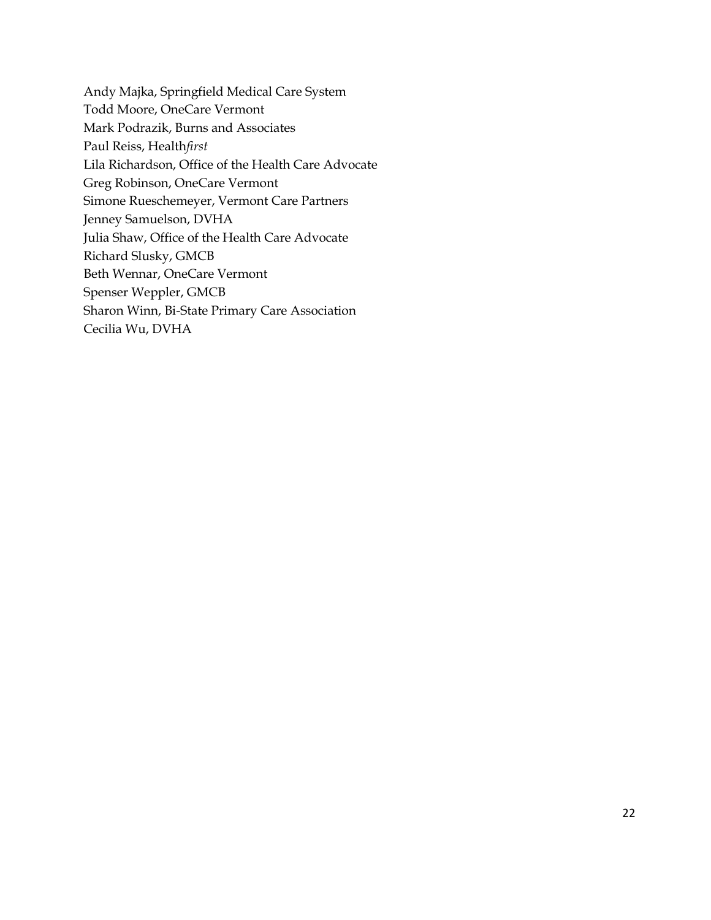Andy Majka, Springfield Medical Care System Todd Moore, OneCare Vermont Mark Podrazik, Burns and Associates Paul Reiss, Health*first* Lila Richardson, Office of the Health Care Advocate Greg Robinson, OneCare Vermont Simone Rueschemeyer, Vermont Care Partners Jenney Samuelson, DVHA Julia Shaw, Office of the Health Care Advocate Richard Slusky, GMCB Beth Wennar, OneCare Vermont Spenser Weppler, GMCB Sharon Winn, Bi-State Primary Care Association Cecilia Wu, DVHA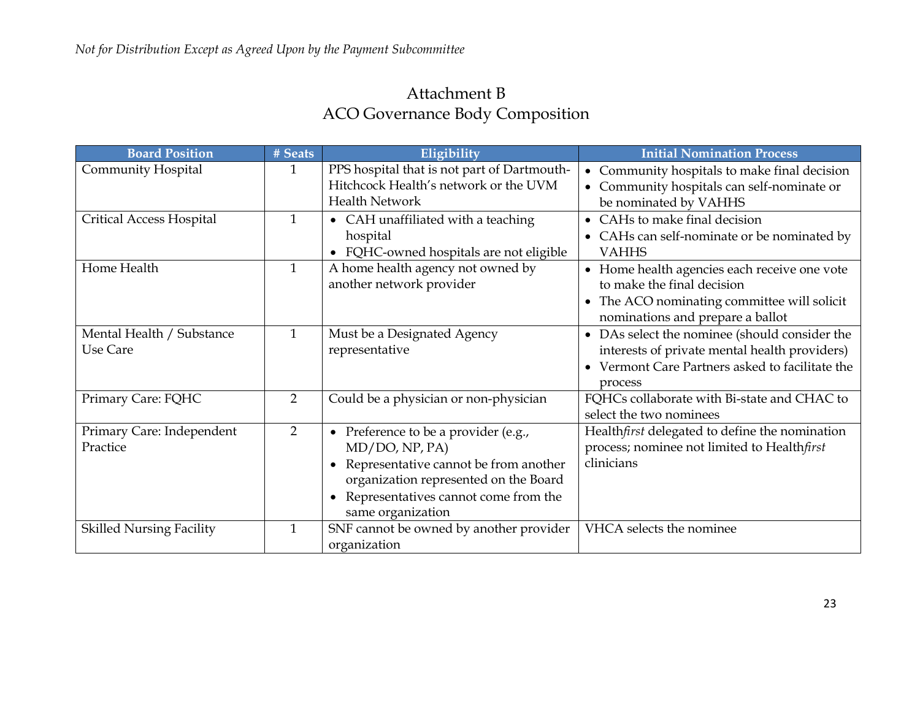# Attachment B ACO Governance Body Composition

| <b>Board Position</b>                 | # Seats        | Eligibility                                                                                                                                                                                                                   | <b>Initial Nomination Process</b>                                                                                                                             |
|---------------------------------------|----------------|-------------------------------------------------------------------------------------------------------------------------------------------------------------------------------------------------------------------------------|---------------------------------------------------------------------------------------------------------------------------------------------------------------|
| Community Hospital                    | $\mathbf{1}$   | PPS hospital that is not part of Dartmouth-<br>Hitchcock Health's network or the UVM<br><b>Health Network</b>                                                                                                                 | • Community hospitals to make final decision<br>Community hospitals can self-nominate or<br>be nominated by VAHHS                                             |
| <b>Critical Access Hospital</b>       | $\mathbf{1}$   | • CAH unaffiliated with a teaching<br>hospital<br>FQHC-owned hospitals are not eligible                                                                                                                                       | • CAHs to make final decision<br>• CAHs can self-nominate or be nominated by<br><b>VAHHS</b>                                                                  |
| Home Health                           | $\mathbf{1}$   | A home health agency not owned by<br>another network provider                                                                                                                                                                 | • Home health agencies each receive one vote<br>to make the final decision<br>• The ACO nominating committee will solicit<br>nominations and prepare a ballot |
| Mental Health / Substance<br>Use Care | $\mathbf{1}$   | Must be a Designated Agency<br>representative                                                                                                                                                                                 | • DAs select the nominee (should consider the<br>interests of private mental health providers)<br>• Vermont Care Partners asked to facilitate the<br>process  |
| Primary Care: FQHC                    | $\overline{2}$ | Could be a physician or non-physician                                                                                                                                                                                         | FQHCs collaborate with Bi-state and CHAC to<br>select the two nominees                                                                                        |
| Primary Care: Independent<br>Practice | $\overline{2}$ | Preference to be a provider (e.g.,<br>$\bullet$<br>MD/DO, NP, PA)<br>Representative cannot be from another<br>organization represented on the Board<br>Representatives cannot come from the<br>$\bullet$<br>same organization | Healthfirst delegated to define the nomination<br>process; nominee not limited to Healthfirst<br>clinicians                                                   |
| <b>Skilled Nursing Facility</b>       | $\mathbf{1}$   | SNF cannot be owned by another provider<br>organization                                                                                                                                                                       | VHCA selects the nominee                                                                                                                                      |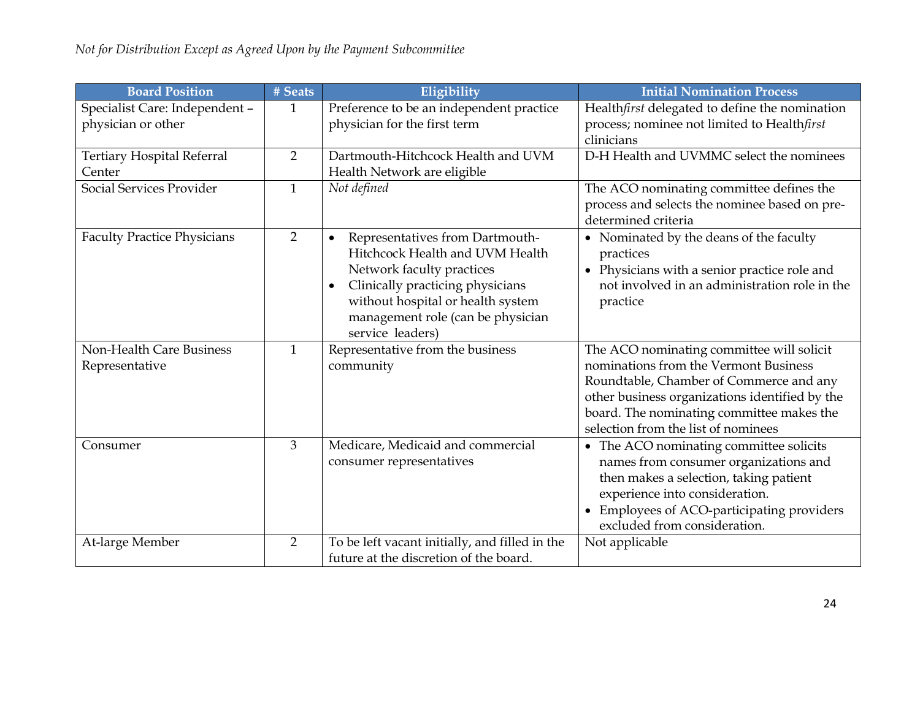| <b>Board Position</b>                             | # Seats        | Eligibility                                                                                                                                                                                                                                                 | <b>Initial Nomination Process</b>                                                                                                                                                                                                                                   |
|---------------------------------------------------|----------------|-------------------------------------------------------------------------------------------------------------------------------------------------------------------------------------------------------------------------------------------------------------|---------------------------------------------------------------------------------------------------------------------------------------------------------------------------------------------------------------------------------------------------------------------|
| Specialist Care: Independent -                    | 1              | Preference to be an independent practice                                                                                                                                                                                                                    | Healthfirst delegated to define the nomination                                                                                                                                                                                                                      |
| physician or other                                |                | physician for the first term                                                                                                                                                                                                                                | process; nominee not limited to Healthfirst<br>clinicians                                                                                                                                                                                                           |
| <b>Tertiary Hospital Referral</b><br>Center       | $\overline{2}$ | Dartmouth-Hitchcock Health and UVM<br>Health Network are eligible                                                                                                                                                                                           | D-H Health and UVMMC select the nominees                                                                                                                                                                                                                            |
| Social Services Provider                          | 1              | Not defined                                                                                                                                                                                                                                                 | The ACO nominating committee defines the<br>process and selects the nominee based on pre-<br>determined criteria                                                                                                                                                    |
| <b>Faculty Practice Physicians</b>                | $\overline{2}$ | Representatives from Dartmouth-<br>$\bullet$<br>Hitchcock Health and UVM Health<br>Network faculty practices<br>Clinically practicing physicians<br>$\bullet$<br>without hospital or health system<br>management role (can be physician<br>service leaders) | • Nominated by the deans of the faculty<br>practices<br>• Physicians with a senior practice role and<br>not involved in an administration role in the<br>practice                                                                                                   |
| <b>Non-Health Care Business</b><br>Representative | $\mathbf{1}$   | Representative from the business<br>community                                                                                                                                                                                                               | The ACO nominating committee will solicit<br>nominations from the Vermont Business<br>Roundtable, Chamber of Commerce and any<br>other business organizations identified by the<br>board. The nominating committee makes the<br>selection from the list of nominees |
| Consumer                                          | 3              | Medicare, Medicaid and commercial<br>consumer representatives                                                                                                                                                                                               | • The ACO nominating committee solicits<br>names from consumer organizations and<br>then makes a selection, taking patient<br>experience into consideration.<br>• Employees of ACO-participating providers<br>excluded from consideration.                          |
| At-large Member                                   | $\overline{2}$ | To be left vacant initially, and filled in the<br>future at the discretion of the board.                                                                                                                                                                    | Not applicable                                                                                                                                                                                                                                                      |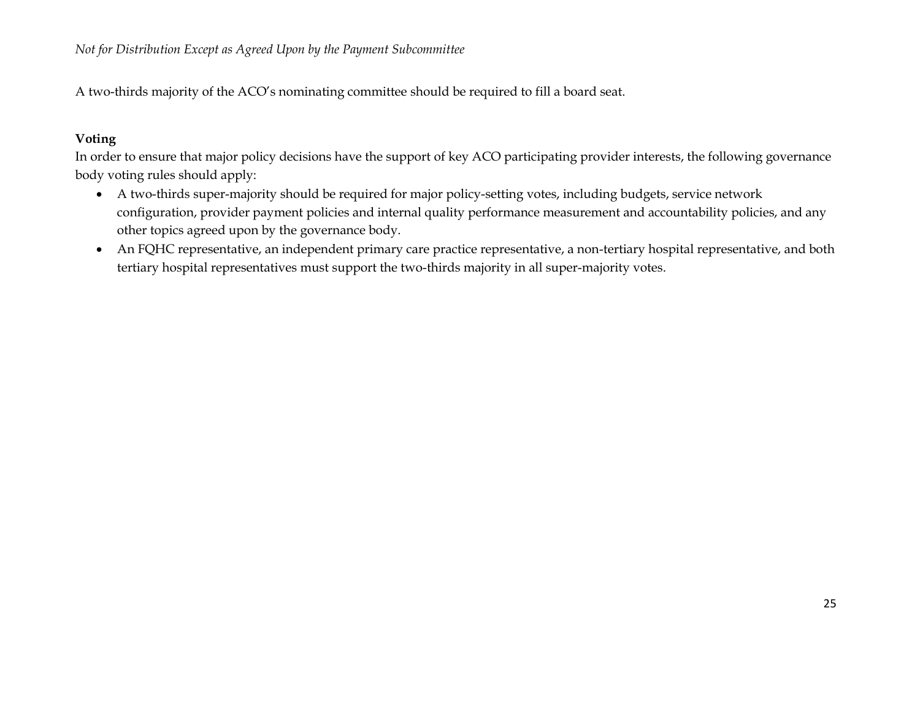A two-thirds majority of the ACO's nominating committee should be required to fill a board seat.

### **Voting**

In order to ensure that major policy decisions have the support of key ACO participating provider interests, the following governance body voting rules should apply:

- A two-thirds super-majority should be required for major policy-setting votes, including budgets, service network configuration, provider payment policies and internal quality performance measurement and accountability policies, and any other topics agreed upon by the governance body.
- An FQHC representative, an independent primary care practice representative, a non-tertiary hospital representative, and both tertiary hospital representatives must support the two-thirds majority in all super-majority votes.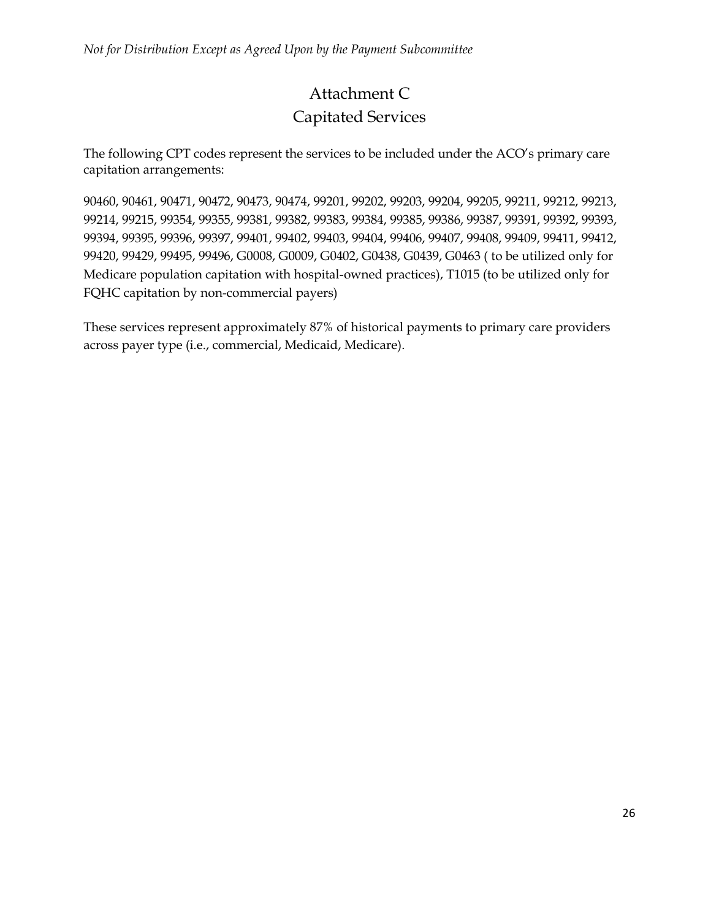# Attachment C Capitated Services

The following CPT codes represent the services to be included under the ACO's primary care capitation arrangements:

90460, 90461, 90471, 90472, 90473, 90474, 99201, 99202, 99203, 99204, 99205, 99211, 99212, 99213, 99214, 99215, 99354, 99355, 99381, 99382, 99383, 99384, 99385, 99386, 99387, 99391, 99392, 99393, 99394, 99395, 99396, 99397, 99401, 99402, 99403, 99404, 99406, 99407, 99408, 99409, 99411, 99412, 99420, 99429, 99495, 99496, G0008, G0009, G0402, G0438, G0439, G0463 ( to be utilized only for Medicare population capitation with hospital-owned practices), T1015 (to be utilized only for FQHC capitation by non-commercial payers)

These services represent approximately 87% of historical payments to primary care providers across payer type (i.e., commercial, Medicaid, Medicare).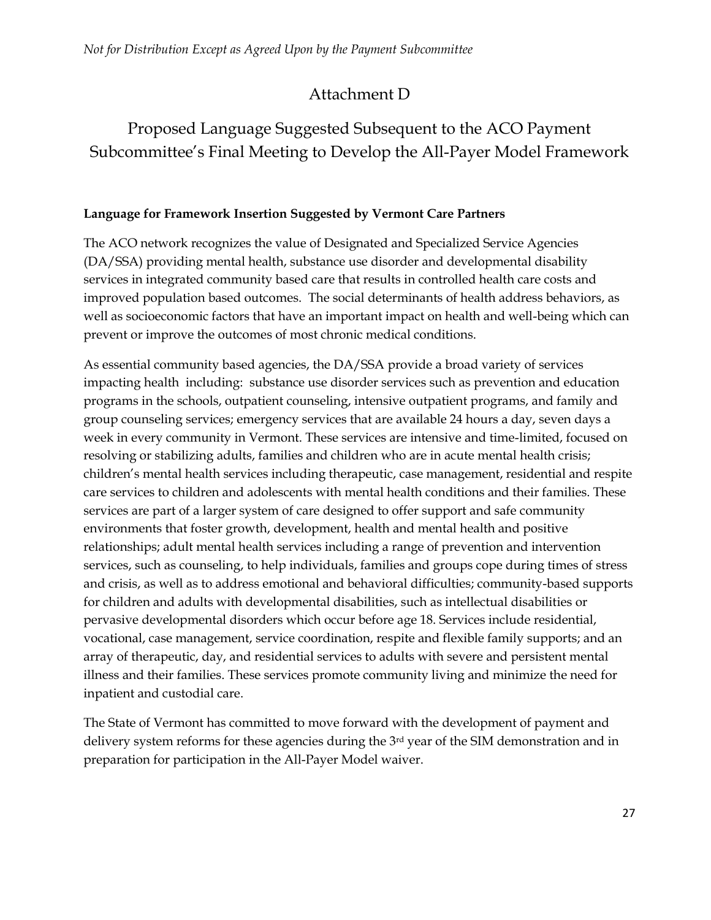# Attachment D

# Proposed Language Suggested Subsequent to the ACO Payment Subcommittee's Final Meeting to Develop the All-Payer Model Framework

## **Language for Framework Insertion Suggested by Vermont Care Partners**

The ACO network recognizes the value of Designated and Specialized Service Agencies (DA/SSA) providing mental health, substance use disorder and developmental disability services in integrated community based care that results in controlled health care costs and improved population based outcomes. The social determinants of health address behaviors, as well as socioeconomic factors that have an important impact on health and well-being which can prevent or improve the outcomes of most chronic medical conditions.

As essential community based agencies, the DA/SSA provide a broad variety of services impacting health including: substance use disorder services such as prevention and education programs in the schools, outpatient counseling, intensive outpatient programs, and family and group counseling services; emergency services that are available 24 hours a day, seven days a week in every community in Vermont. These services are intensive and time-limited, focused on resolving or stabilizing adults, families and children who are in acute mental health crisis; children's mental health services including therapeutic, case management, residential and respite care services to children and adolescents with mental health conditions and their families. These services are part of a larger system of care designed to offer support and safe community environments that foster growth, development, health and mental health and positive relationships; adult mental health services including a range of prevention and intervention services, such as counseling, to help individuals, families and groups cope during times of stress and crisis, as well as to address emotional and behavioral difficulties; community-based supports for children and adults with developmental disabilities, such as intellectual disabilities or pervasive developmental disorders which occur before age 18. Services include residential, vocational, case management, service coordination, respite and flexible family supports; and an array of therapeutic, day, and residential services to adults with severe and persistent mental illness and their families. These services promote community living and minimize the need for inpatient and custodial care.

The State of Vermont has committed to move forward with the development of payment and delivery system reforms for these agencies during the 3rd year of the SIM demonstration and in preparation for participation in the All-Payer Model waiver.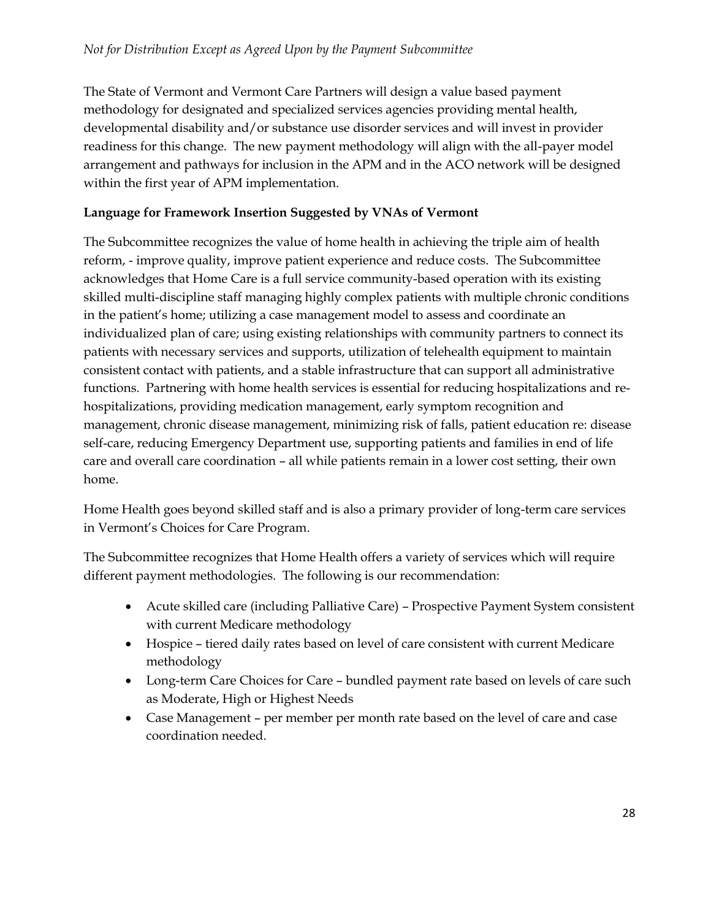The State of Vermont and Vermont Care Partners will design a value based payment methodology for designated and specialized services agencies providing mental health, developmental disability and/or substance use disorder services and will invest in provider readiness for this change. The new payment methodology will align with the all-payer model arrangement and pathways for inclusion in the APM and in the ACO network will be designed within the first year of APM implementation.

#### **Language for Framework Insertion Suggested by VNAs of Vermont**

The Subcommittee recognizes the value of home health in achieving the triple aim of health reform, - improve quality, improve patient experience and reduce costs. The Subcommittee acknowledges that Home Care is a full service community-based operation with its existing skilled multi-discipline staff managing highly complex patients with multiple chronic conditions in the patient's home; utilizing a case management model to assess and coordinate an individualized plan of care; using existing relationships with community partners to connect its patients with necessary services and supports, utilization of telehealth equipment to maintain consistent contact with patients, and a stable infrastructure that can support all administrative functions. Partnering with home health services is essential for reducing hospitalizations and rehospitalizations, providing medication management, early symptom recognition and management, chronic disease management, minimizing risk of falls, patient education re: disease self-care, reducing Emergency Department use, supporting patients and families in end of life care and overall care coordination – all while patients remain in a lower cost setting, their own home.

Home Health goes beyond skilled staff and is also a primary provider of long-term care services in Vermont's Choices for Care Program.

The Subcommittee recognizes that Home Health offers a variety of services which will require different payment methodologies. The following is our recommendation:

- Acute skilled care (including Palliative Care) Prospective Payment System consistent with current Medicare methodology
- Hospice tiered daily rates based on level of care consistent with current Medicare methodology
- Long-term Care Choices for Care bundled payment rate based on levels of care such as Moderate, High or Highest Needs
- Case Management per member per month rate based on the level of care and case coordination needed.